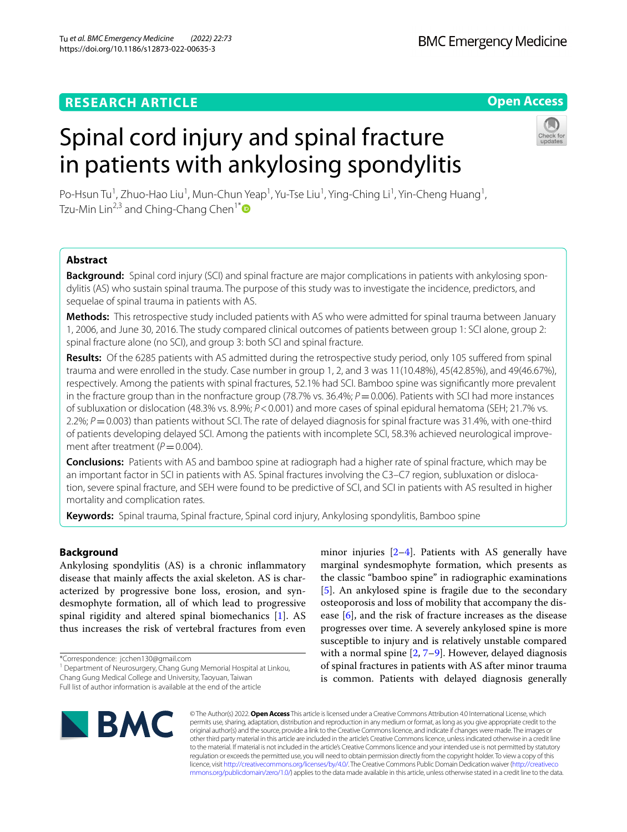# **RESEARCH ARTICLE**

# **Open Access**

**BMC Emergency Medicine** 

# Spinal cord injury and spinal fracture in patients with ankylosing spondylitis



Po-Hsun Tu<sup>1</sup>, Zhuo-Hao Liu<sup>1</sup>, Mun-Chun Yeap<sup>1</sup>, Yu-Tse Liu<sup>1</sup>, Ying-Ching Li<sup>1</sup>, Yin-Cheng Huang<sup>1</sup>, Tzu-Min Lin<sup>2,3</sup> and Ching-Chang Chen<sup>1\*</sup>

# **Abstract**

**Background:** Spinal cord injury (SCI) and spinal fracture are major complications in patients with ankylosing spondylitis (AS) who sustain spinal trauma. The purpose of this study was to investigate the incidence, predictors, and sequelae of spinal trauma in patients with AS.

**Methods:** This retrospective study included patients with AS who were admitted for spinal trauma between January 1, 2006, and June 30, 2016. The study compared clinical outcomes of patients between group 1: SCI alone, group 2: spinal fracture alone (no SCI), and group 3: both SCI and spinal fracture.

**Results:** Of the 6285 patients with AS admitted during the retrospective study period, only 105 sufered from spinal trauma and were enrolled in the study. Case number in group 1, 2, and 3 was 11(10.48%), 45(42.85%), and 49(46.67%), respectively. Among the patients with spinal fractures, 52.1% had SCI. Bamboo spine was signifcantly more prevalent in the fracture group than in the nonfracture group (78.7% vs. 36.4%;  $P = 0.006$ ). Patients with SCI had more instances of subluxation or dislocation (48.3% vs. 8.9%; *P*<0.001) and more cases of spinal epidural hematoma (SEH; 21.7% vs. 2.2%; *P* = 0.003) than patients without SCI. The rate of delayed diagnosis for spinal fracture was 31.4%, with one-third of patients developing delayed SCI. Among the patients with incomplete SCI, 58.3% achieved neurological improvement after treatment ( $P$  = 0.004).

**Conclusions:** Patients with AS and bamboo spine at radiograph had a higher rate of spinal fracture, which may be an important factor in SCI in patients with AS. Spinal fractures involving the C3–C7 region, subluxation or dislocation, severe spinal fracture, and SEH were found to be predictive of SCI, and SCI in patients with AS resulted in higher mortality and complication rates.

**Keywords:** Spinal trauma, Spinal fracture, Spinal cord injury, Ankylosing spondylitis, Bamboo spine

# **Background**

Ankylosing spondylitis (AS) is a chronic infammatory disease that mainly afects the axial skeleton. AS is characterized by progressive bone loss, erosion, and syndesmophyte formation, all of which lead to progressive spinal rigidity and altered spinal biomechanics [[1\]](#page-7-0). AS thus increases the risk of vertebral fractures from even

\*Correspondence: jcchen130@gmail.com

<sup>1</sup> Department of Neurosurgery, Chang Gung Memorial Hospital at Linkou, Chang Gung Medical College and University, Taoyuan, Taiwan

minor injuries [[2–](#page-7-1)[4](#page-7-2)]. Patients with AS generally have marginal syndesmophyte formation, which presents as the classic "bamboo spine" in radiographic examinations [[5\]](#page-7-3). An ankylosed spine is fragile due to the secondary osteoporosis and loss of mobility that accompany the disease [\[6](#page-7-4)], and the risk of fracture increases as the disease progresses over time. A severely ankylosed spine is more susceptible to injury and is relatively unstable compared with a normal spine  $[2, 7-9]$  $[2, 7-9]$  $[2, 7-9]$ . However, delayed diagnosis of spinal fractures in patients with AS after minor trauma is common. Patients with delayed diagnosis generally



© The Author(s) 2022. **Open Access** This article is licensed under a Creative Commons Attribution 4.0 International License, which permits use, sharing, adaptation, distribution and reproduction in any medium or format, as long as you give appropriate credit to the original author(s) and the source, provide a link to the Creative Commons licence, and indicate if changes were made. The images or other third party material in this article are included in the article's Creative Commons licence, unless indicated otherwise in a credit line to the material. If material is not included in the article's Creative Commons licence and your intended use is not permitted by statutory regulation or exceeds the permitted use, you will need to obtain permission directly from the copyright holder. To view a copy of this licence, visit [http://creativecommons.org/licenses/by/4.0/.](http://creativecommons.org/licenses/by/4.0/) The Creative Commons Public Domain Dedication waiver ([http://creativeco](http://creativecommons.org/publicdomain/zero/1.0/) [mmons.org/publicdomain/zero/1.0/](http://creativecommons.org/publicdomain/zero/1.0/)) applies to the data made available in this article, unless otherwise stated in a credit line to the data.

Full list of author information is available at the end of the article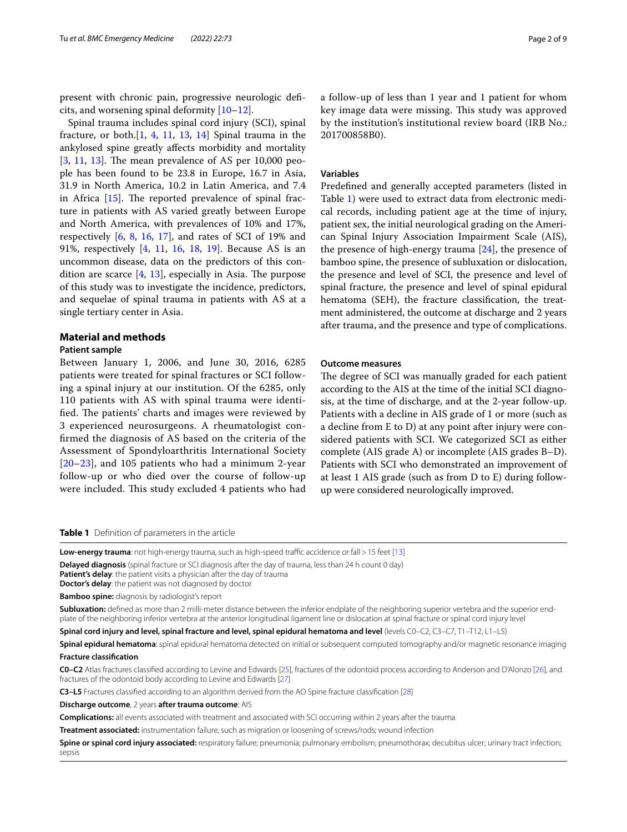present with chronic pain, progressive neurologic defcits, and worsening spinal deformity [\[10–](#page-7-7)[12\]](#page-7-8).

Spinal trauma includes spinal cord injury (SCI), spinal fracture, or both. $[1, 4, 11, 13, 14]$  $[1, 4, 11, 13, 14]$  $[1, 4, 11, 13, 14]$  $[1, 4, 11, 13, 14]$  $[1, 4, 11, 13, 14]$  $[1, 4, 11, 13, 14]$  $[1, 4, 11, 13, 14]$  $[1, 4, 11, 13, 14]$  $[1, 4, 11, 13, 14]$  $[1, 4, 11, 13, 14]$  Spinal trauma in the ankylosed spine greatly afects morbidity and mortality  $[3, 11, 13]$  $[3, 11, 13]$  $[3, 11, 13]$  $[3, 11, 13]$  $[3, 11, 13]$  $[3, 11, 13]$ . The mean prevalence of AS per 10,000 people has been found to be 23.8 in Europe, 16.7 in Asia, 31.9 in North America, 10.2 in Latin America, and 7.4 in Africa  $[15]$  $[15]$ . The reported prevalence of spinal fracture in patients with AS varied greatly between Europe and North America, with prevalences of 10% and 17%, respectively  $[6, 8, 16, 17]$  $[6, 8, 16, 17]$  $[6, 8, 16, 17]$  $[6, 8, 16, 17]$  $[6, 8, 16, 17]$  $[6, 8, 16, 17]$  $[6, 8, 16, 17]$ , and rates of SCI of 19% and 91%, respectively [[4,](#page-7-2) [11](#page-7-9), [16](#page-7-15), [18,](#page-7-17) [19](#page-7-18)]. Because AS is an uncommon disease, data on the predictors of this condition are scarce  $[4, 13]$  $[4, 13]$  $[4, 13]$  $[4, 13]$  $[4, 13]$ , especially in Asia. The purpose of this study was to investigate the incidence, predictors, and sequelae of spinal trauma in patients with AS at a single tertiary center in Asia.

# **Material and methods**

### **Patient sample**

Between January 1, 2006, and June 30, 2016, 6285 patients were treated for spinal fractures or SCI following a spinal injury at our institution. Of the 6285, only 110 patients with AS with spinal trauma were identified. The patients' charts and images were reviewed by 3 experienced neurosurgeons. A rheumatologist confrmed the diagnosis of AS based on the criteria of the Assessment of Spondyloarthritis International Society [[20](#page-7-19)[–23](#page-7-20)], and 105 patients who had a minimum 2-year follow-up or who died over the course of follow-up were included. This study excluded 4 patients who had

a follow-up of less than 1 year and 1 patient for whom key image data were missing. This study was approved by the institution's institutional review board (IRB No.: 201700858B0).

#### **Variables**

Predefned and generally accepted parameters (listed in Table [1\)](#page-1-0) were used to extract data from electronic medical records, including patient age at the time of injury, patient sex, the initial neurological grading on the American Spinal Injury Association Impairment Scale (AIS), the presence of high-energy trauma  $[24]$  $[24]$ , the presence of bamboo spine, the presence of subluxation or dislocation, the presence and level of SCI, the presence and level of spinal fracture, the presence and level of spinal epidural hematoma (SEH), the fracture classifcation, the treatment administered, the outcome at discharge and 2 years after trauma, and the presence and type of complications.

#### **Outcome measures**

The degree of SCI was manually graded for each patient according to the AIS at the time of the initial SCI diagnosis, at the time of discharge, and at the 2-year follow-up. Patients with a decline in AIS grade of 1 or more (such as a decline from E to D) at any point after injury were considered patients with SCI. We categorized SCI as either complete (AIS grade A) or incomplete (AIS grades B–D). Patients with SCI who demonstrated an improvement of at least 1 AIS grade (such as from D to E) during followup were considered neurologically improved.

<span id="page-1-0"></span>**Table 1** Defnition of parameters in the article

**Low-energy trauma**: not high-energy trauma, such as high-speed traffic accidence or fall > 15 feet [[13\]](#page-7-10)

**Delayed diagnosis** (spinal fracture or SCI diagnosis after the day of trauma, less than 24 h count 0 day)

**Patient's delay**: the patient visits a physician after the day of trauma

**Doctor's delay**: the patient was not diagnosed by doctor

**Bamboo spine:** diagnosis by radiologist's report

Subluxation: defined as more than 2 milli-meter distance between the inferior endplate of the neighboring superior vertebra and the superior endplate of the neighboring inferior vertebra at the anterior longitudinal ligament line or dislocation at spinal fracture or spinal cord injury level

**Spinal cord injury and level, spinal fracture and level, spinal epidural hematoma and level** (levels C0–C2, C3–C7, T1–T12, L1–L5)

**Spinal epidural hematoma**: spinal epidural hematoma detected on initial or subsequent computed tomography and/or magnetic resonance imaging **Fracture classifcation**

**C0–C2** Atlas fractures classifed according to Levine and Edwards [\[25\]](#page-7-22), fractures of the odontoid process according to Anderson and D'Alonzo [[26\]](#page-7-23), and fractures of the odontoid body according to Levine and Edwards [\[27\]](#page-7-24)

**C3–L5** Fractures classifed according to an algorithm derived from the AO Spine fracture classifcation [[28\]](#page-7-25)

**Discharge outcome**, 2 years **after trauma outcome**: AIS

**Complications:** all events associated with treatment and associated with SCI occurring within 2 years after the trauma

**Treatment associated:** instrumentation failure, such as migration or loosening of screws/rods; wound infection

Spine or spinal cord injury associated: respiratory failure; pneumonia; pulmonary embolism; pneumothorax; decubitus ulcer; urinary tract infection; sepsis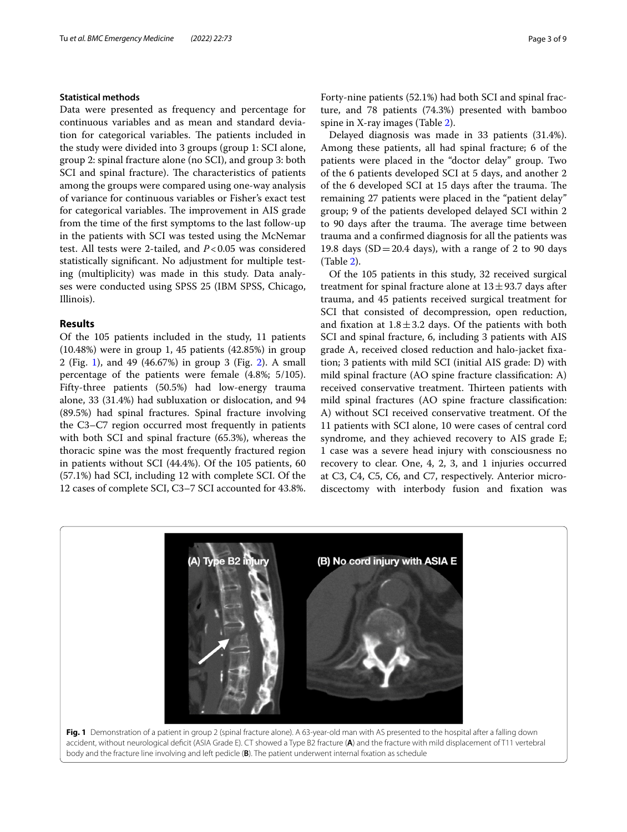# **Statistical methods**

Data were presented as frequency and percentage for continuous variables and as mean and standard deviation for categorical variables. The patients included in the study were divided into 3 groups (group 1: SCI alone, group 2: spinal fracture alone (no SCI), and group 3: both SCI and spinal fracture). The characteristics of patients among the groups were compared using one-way analysis of variance for continuous variables or Fisher's exact test for categorical variables. The improvement in AIS grade from the time of the frst symptoms to the last follow-up in the patients with SCI was tested using the McNemar test. All tests were 2-tailed, and *P*<0.05 was considered statistically signifcant. No adjustment for multiple testing (multiplicity) was made in this study. Data analyses were conducted using SPSS 25 (IBM SPSS, Chicago, Illinois).

# **Results**

Of the 105 patients included in the study, 11 patients (10.48%) were in group 1, 45 patients (42.85%) in group 2 (Fig. [1](#page-2-0)), and 49 (46.67%) in group 3 (Fig. [2\)](#page-3-0). A small percentage of the patients were female (4.8%; 5/105). Fifty-three patients (50.5%) had low-energy trauma alone, 33 (31.4%) had subluxation or dislocation, and 94 (89.5%) had spinal fractures. Spinal fracture involving the C3–C7 region occurred most frequently in patients with both SCI and spinal fracture (65.3%), whereas the thoracic spine was the most frequently fractured region in patients without SCI (44.4%). Of the 105 patients, 60 (57.1%) had SCI, including 12 with complete SCI. Of the 12 cases of complete SCI, C3–7 SCI accounted for 43.8%.

Forty-nine patients (52.1%) had both SCI and spinal fracture, and 78 patients (74.3%) presented with bamboo spine in X-ray images (Table [2](#page-4-0)).

Delayed diagnosis was made in 33 patients (31.4%). Among these patients, all had spinal fracture; 6 of the patients were placed in the "doctor delay" group. Two of the 6 patients developed SCI at 5 days, and another 2 of the 6 developed SCI at 15 days after the trauma. The remaining 27 patients were placed in the "patient delay" group; 9 of the patients developed delayed SCI within 2 to 90 days after the trauma. The average time between trauma and a confrmed diagnosis for all the patients was 19.8 days  $(SD=20.4$  days), with a range of 2 to 90 days (Table [2\)](#page-4-0).

Of the 105 patients in this study, 32 received surgical treatment for spinal fracture alone at  $13 \pm 93.7$  days after trauma, and 45 patients received surgical treatment for SCI that consisted of decompression, open reduction, and fixation at  $1.8 \pm 3.2$  days. Of the patients with both SCI and spinal fracture, 6, including 3 patients with AIS grade A, received closed reduction and halo-jacket fxation; 3 patients with mild SCI (initial AIS grade: D) with mild spinal fracture (AO spine fracture classifcation: A) received conservative treatment. Thirteen patients with mild spinal fractures (AO spine fracture classifcation: A) without SCI received conservative treatment. Of the 11 patients with SCI alone, 10 were cases of central cord syndrome, and they achieved recovery to AIS grade E; 1 case was a severe head injury with consciousness no recovery to clear. One, 4, 2, 3, and 1 injuries occurred at C3, C4, C5, C6, and C7, respectively. Anterior microdiscectomy with interbody fusion and fxation was



<span id="page-2-0"></span>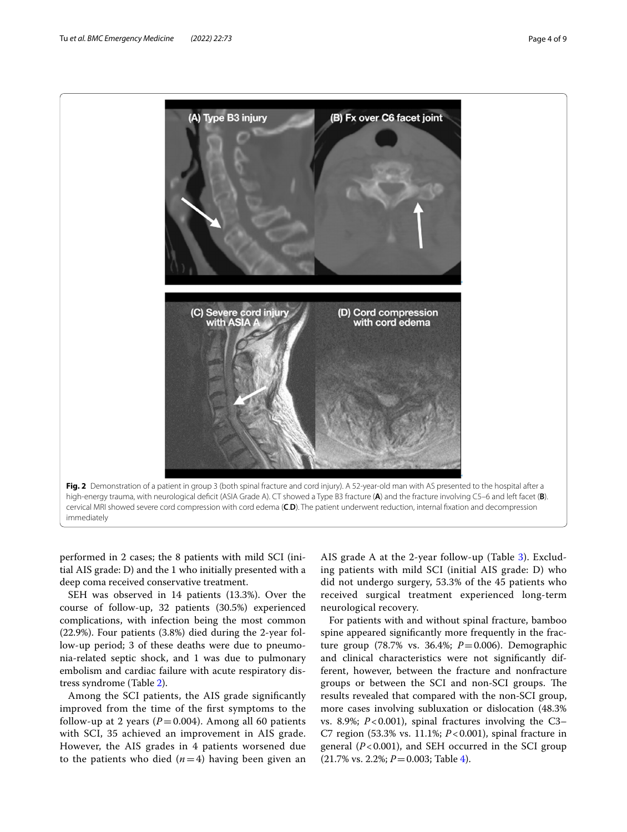

<span id="page-3-0"></span>performed in 2 cases; the 8 patients with mild SCI (initial AIS grade: D) and the 1 who initially presented with a deep coma received conservative treatment.

SEH was observed in 14 patients (13.3%). Over the course of follow-up, 32 patients (30.5%) experienced complications, with infection being the most common (22.9%). Four patients (3.8%) died during the 2-year follow-up period; 3 of these deaths were due to pneumonia-related septic shock, and 1 was due to pulmonary embolism and cardiac failure with acute respiratory distress syndrome (Table [2\)](#page-4-0).

Among the SCI patients, the AIS grade signifcantly improved from the time of the frst symptoms to the follow-up at 2 years ( $P = 0.004$ ). Among all 60 patients with SCI, 35 achieved an improvement in AIS grade. However, the AIS grades in 4 patients worsened due to the patients who died  $(n=4)$  having been given an

AIS grade A at the 2-year follow-up (Table [3](#page-5-0)). Excluding patients with mild SCI (initial AIS grade: D) who did not undergo surgery, 53.3% of the 45 patients who received surgical treatment experienced long-term neurological recovery.

For patients with and without spinal fracture, bamboo spine appeared signifcantly more frequently in the fracture group (78.7% vs. 36.4%; *P*=0.006). Demographic and clinical characteristics were not signifcantly different, however, between the fracture and nonfracture groups or between the SCI and non-SCI groups. The results revealed that compared with the non-SCI group, more cases involving subluxation or dislocation (48.3% vs. 8.9%; *P*<0.001), spinal fractures involving the C3– C7 region (53.3% vs. 11.1%; *P*<0.001), spinal fracture in general (*P*<0.001), and SEH occurred in the SCI group (21.7% vs. 2.2%; *P*=0.003; Table [4](#page-5-1)).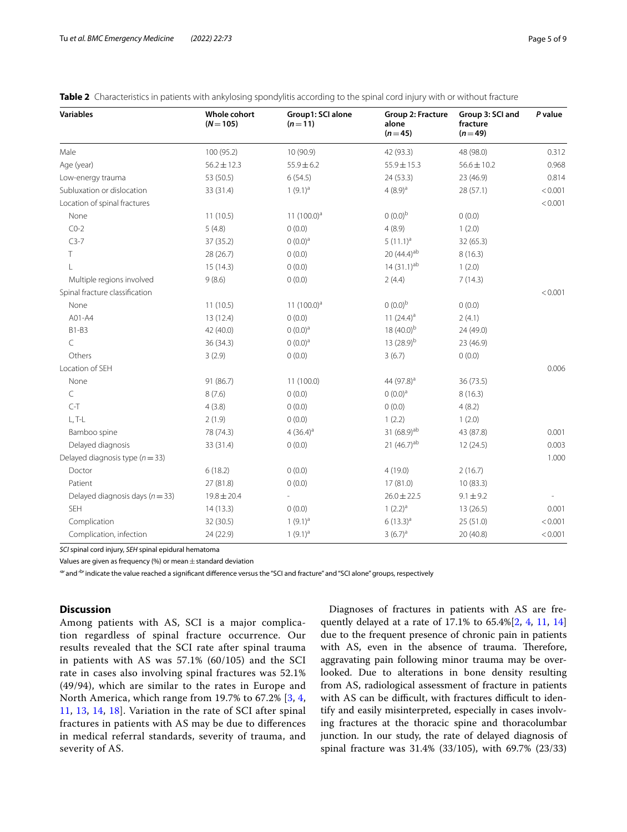| <b>Variables</b>                    | <b>Whole cohort</b><br>$(N = 105)$ | Group1: SCI alone<br>$(n=11)$ | Group 2: Fracture<br>alone<br>$(n=45)$ | Group 3: SCI and<br>fracture<br>$(n=49)$ | P value |
|-------------------------------------|------------------------------------|-------------------------------|----------------------------------------|------------------------------------------|---------|
| Male                                | 100 (95.2)                         | 10 (90.9)                     | 42 (93.3)                              | 48 (98.0)                                | 0.312   |
| Age (year)                          | $56.2 \pm 12.3$                    | $55.9 \pm 6.2$                | $55.9 \pm 15.3$                        | $56.6 \pm 10.2$                          | 0.968   |
| Low-energy trauma                   | 53 (50.5)                          | 6(54.5)                       | 24 (53.3)                              | 23 (46.9)                                | 0.814   |
| Subluxation or dislocation          | 33 (31.4)                          | $1(9.1)^a$                    | $4(8.9)^a$                             | 28 (57.1)                                | < 0.001 |
| Location of spinal fractures        |                                    |                               |                                        |                                          | < 0.001 |
| None                                | 11(10.5)                           | 11 $(100.0)^a$                | $(0.0)^{b}$                            | 0(0.0)                                   |         |
| $CO-2$                              | 5(4.8)                             | 0(0.0)                        | 4(8.9)                                 | 1(2.0)                                   |         |
| $C3-7$                              | 37 (35.2)                          | $0(0.0)$ <sup>a</sup>         | $5(11.1)^a$                            | 32 (65.3)                                |         |
| Τ                                   | 28 (26.7)                          | 0(0.0)                        | 20 (44.4) <sup>ab</sup>                | 8(16.3)                                  |         |
| L                                   | 15(14.3)                           | 0(0.0)                        | $14(31.1)^{ab}$                        | 1(2.0)                                   |         |
| Multiple regions involved           | 9(8.6)                             | 0(0.0)                        | 2(4.4)                                 | 7(14.3)                                  |         |
| Spinal fracture classification      |                                    |                               |                                        |                                          | < 0.001 |
| None                                | 11(10.5)                           | 11 $(100.0)^a$                | $(0.0)^{b}$                            | 0(0.0)                                   |         |
| A01-A4                              | 13 (12.4)                          | 0(0.0)                        | 11 $(24.4)^a$                          | 2(4.1)                                   |         |
| B1-B3                               | 42 (40.0)                          | $(0.0)^a$                     | 18 $(40.0)^{b}$                        | 24 (49.0)                                |         |
| C                                   | 36 (34.3)                          | $0(0.0)$ <sup>a</sup>         | 13 $(28.9)^{b}$                        | 23 (46.9)                                |         |
| Others                              | 3(2.9)                             | 0(0.0)                        | 3(6.7)                                 | 0(0.0)                                   |         |
| Location of SEH                     |                                    |                               |                                        |                                          | 0.006   |
| None                                | 91 (86.7)                          | 11(100.0)                     | 44 (97.8) <sup>a</sup>                 | 36(73.5)                                 |         |
| $\subset$                           | 8(7.6)                             | 0(0.0)                        | $(0.0)^a$                              | 8(16.3)                                  |         |
| $C-T$                               | 4(3.8)                             | 0(0.0)                        | 0(0.0)                                 | 4(8.2)                                   |         |
| $L, T-L$                            | 2(1.9)                             | 0(0.0)                        | 1(2.2)                                 | 1(2.0)                                   |         |
| Bamboo spine                        | 78 (74.3)                          | $4(36.4)^a$                   | 31 (68.9) <sup>ab</sup>                | 43 (87.8)                                | 0.001   |
| Delayed diagnosis                   | 33 (31.4)                          | 0(0.0)                        | 21 (46.7) <sup>ab</sup>                | 12(24.5)                                 | 0.003   |
| Delayed diagnosis type ( $n = 33$ ) |                                    |                               |                                        |                                          | 1.000   |
| Doctor                              | 6(18.2)                            | 0(0.0)                        | 4(19.0)                                | 2(16.7)                                  |         |
| Patient                             | 27 (81.8)                          | 0(0.0)                        | 17 (81.0)                              | 10(83.3)                                 |         |
| Delayed diagnosis days ( $n = 33$ ) | $19.8 \pm 20.4$                    |                               | $26.0 \pm 22.5$                        | $9.1 \pm 9.2$                            |         |
| <b>SEH</b>                          | 14(13.3)                           | 0(0.0)                        | $1(2.2)^a$                             | 13(26.5)                                 | 0.001   |
| Complication                        | 32 (30.5)                          | $1(9.1)^{a}$                  | $6(13.3)^{a}$                          | 25 (51.0)                                | < 0.001 |
| Complication, infection             | 24 (22.9)                          | $1(9.1)^a$                    | $3(6.7)^a$                             | 20 (40.8)                                | < 0.001 |

<span id="page-4-0"></span>**Table 2** Characteristics in patients with ankylosing spondylitis according to the spinal cord injury with or without fracture

*SCI* spinal cord injury, *SEH* spinal epidural hematoma

Values are given as frequency (%) or mean  $\pm$  standard deviation

<sup>a</sup> and <sup>dy</sup> indicate the value reached a significant difference versus the "SCI and fracture" and "SCI alone" groups, respectively

## **Discussion**

Among patients with AS, SCI is a major complication regardless of spinal fracture occurrence. Our results revealed that the SCI rate after spinal trauma in patients with AS was 57.1% (60/105) and the SCI rate in cases also involving spinal fractures was 52.1% (49/94), which are similar to the rates in Europe and North America, which range from 19.7% to 67.2% [\[3](#page-7-12), [4](#page-7-2), [11,](#page-7-9) [13](#page-7-10), [14](#page-7-11), [18\]](#page-7-17). Variation in the rate of SCI after spinal fractures in patients with AS may be due to diferences in medical referral standards, severity of trauma, and severity of AS.

Diagnoses of fractures in patients with AS are frequently delayed at a rate of 17.1% to 65.4%[[2,](#page-7-1) [4](#page-7-2), [11,](#page-7-9) [14](#page-7-11)] due to the frequent presence of chronic pain in patients with AS, even in the absence of trauma. Therefore, aggravating pain following minor trauma may be overlooked. Due to alterations in bone density resulting from AS, radiological assessment of fracture in patients with AS can be difficult, with fractures difficult to identify and easily misinterpreted, especially in cases involving fractures at the thoracic spine and thoracolumbar junction. In our study, the rate of delayed diagnosis of spinal fracture was 31.4% (33/105), with 69.7% (23/33)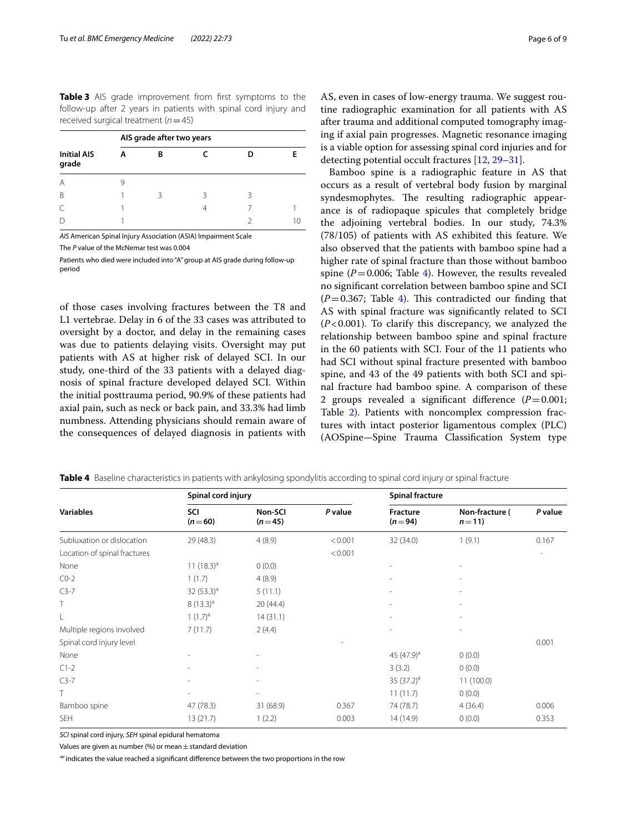<span id="page-5-0"></span>**Table 3** AIS grade improvement from first symptoms to the follow-up after 2 years in patients with spinal cord injury and received surgical treatment (*n*=45)

|                             | AIS grade after two years |   |   |   |  |  |  |
|-----------------------------|---------------------------|---|---|---|--|--|--|
| <b>Initial AIS</b><br>grade |                           | в |   |   |  |  |  |
| A                           | 9                         |   |   |   |  |  |  |
| B                           |                           | ₹ | ₹ | ર |  |  |  |
|                             |                           |   | 4 |   |  |  |  |
|                             |                           |   |   |   |  |  |  |

*AIS* American Spinal Injury Association (ASIA) Impairment Scale

The *P* value of the McNemar test was 0.004

Patients who died were included into "A" group at AIS grade during follow-up period

of those cases involving fractures between the T8 and L1 vertebrae. Delay in 6 of the 33 cases was attributed to oversight by a doctor, and delay in the remaining cases was due to patients delaying visits. Oversight may put patients with AS at higher risk of delayed SCI. In our study, one-third of the 33 patients with a delayed diagnosis of spinal fracture developed delayed SCI. Within the initial posttrauma period, 90.9% of these patients had axial pain, such as neck or back pain, and 33.3% had limb numbness. Attending physicians should remain aware of the consequences of delayed diagnosis in patients with AS, even in cases of low-energy trauma. We suggest routine radiographic examination for all patients with AS after trauma and additional computed tomography imaging if axial pain progresses. Magnetic resonance imaging is a viable option for assessing spinal cord injuries and for detecting potential occult fractures [\[12](#page-7-8), [29](#page-7-26)[–31](#page-8-0)].

Bamboo spine is a radiographic feature in AS that occurs as a result of vertebral body fusion by marginal syndesmophytes. The resulting radiographic appearance is of radiopaque spicules that completely bridge the adjoining vertebral bodies. In our study, 74.3% (78/105) of patients with AS exhibited this feature. We also observed that the patients with bamboo spine had a higher rate of spinal fracture than those without bamboo spine ( $P=0.006$ ; Table [4\)](#page-5-1). However, the results revealed no signifcant correlation between bamboo spine and SCI  $(P=0.367;$  Table [4](#page-5-1)). This contradicted our finding that AS with spinal fracture was signifcantly related to SCI (*P*<0.001). To clarify this discrepancy, we analyzed the relationship between bamboo spine and spinal fracture in the 60 patients with SCI. Four of the 11 patients who had SCI without spinal fracture presented with bamboo spine, and 43 of the 49 patients with both SCI and spinal fracture had bamboo spine. A comparison of these 2 groups revealed a significant difference  $(P=0.001;$ Table [2\)](#page-4-0). Patients with noncomplex compression fractures with intact posterior ligamentous complex (PLC) (AOSpine—Spine Trauma Classifcation System type

|                              | Spinal cord injury |                     |         | <b>Spinal fracture</b>      |                            |         |
|------------------------------|--------------------|---------------------|---------|-----------------------------|----------------------------|---------|
| <b>Variables</b>             | SCI<br>$(n=60)$    | Non-SCI<br>$(n=45)$ | P value | <b>Fracture</b><br>$(n=94)$ | Non-fracture (<br>$n = 11$ | P value |
| Subluxation or dislocation   | 29 (48.3)          | 4(8.9)              | < 0.001 | 32 (34.0)                   | 1(9.1)                     | 0.167   |
| Location of spinal fractures |                    |                     | < 0.001 |                             |                            |         |
| None                         | 11 $(18.3)^a$      | 0(0.0)              |         |                             |                            |         |
| $CO-2$                       | 1(1.7)             | 4(8.9)              |         |                             |                            |         |
| $C3-7$                       | 32 $(53.3)^a$      | 5(11.1)             |         |                             |                            |         |
| T                            | $8(13.3)^a$        | 20(44.4)            |         |                             |                            |         |
| L                            | $1(1.7)^a$         | 14(31.1)            |         |                             |                            |         |
| Multiple regions involved    | 7(11.7)            | 2(4.4)              |         |                             |                            |         |
| Spinal cord injury level     |                    |                     |         |                             |                            | 0.001   |
| None                         |                    |                     |         | 45 $(47.9)^a$               | 0(0.0)                     |         |
| $C1-2$                       |                    |                     |         | 3(3.2)                      | 0(0.0)                     |         |
| $C3-7$                       |                    |                     |         | 35 $(37.2)^a$               | 11(100.0)                  |         |
| T                            | ٠                  |                     |         | 11(11.7)                    | 0(0.0)                     |         |
| Bamboo spine                 | 47 (78.3)          | 31 (68.9)           | 0.367   | 74 (78.7)                   | 4(36.4)                    | 0.006   |
| <b>SEH</b>                   | 13(21.7)           | 1(2.2)              | 0.003   | 14 (14.9)                   | 0(0.0)                     | 0.353   |

<span id="page-5-1"></span>**Table 4** Baseline characteristics in patients with ankylosing spondylitis according to spinal cord injury or spinal fracture

*SCI* spinal cord injury, *SEH* spinal epidural hematoma

Values are given as number (%) or mean  $\pm$  standard deviation

<sup>a</sup> indicates the value reached a significant difference between the two proportions in the row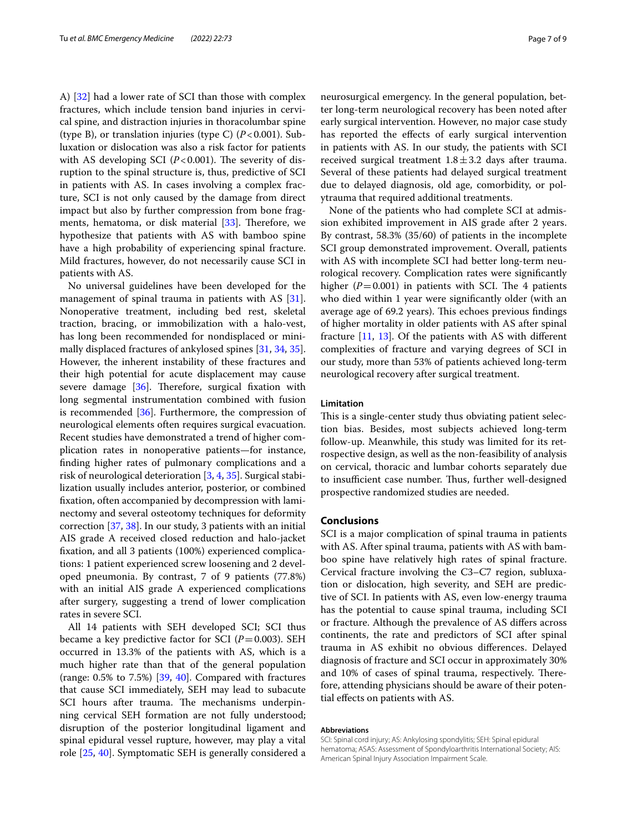A) [[32\]](#page-8-1) had a lower rate of SCI than those with complex fractures, which include tension band injuries in cervical spine, and distraction injuries in thoracolumbar spine (type B), or translation injuries (type C) (*P*<0.001). Subluxation or dislocation was also a risk factor for patients with AS developing SCI  $(P<0.001)$ . The severity of disruption to the spinal structure is, thus, predictive of SCI in patients with AS. In cases involving a complex fracture, SCI is not only caused by the damage from direct impact but also by further compression from bone fragments, hematoma, or disk material  $[33]$  $[33]$  $[33]$ . Therefore, we hypothesize that patients with AS with bamboo spine have a high probability of experiencing spinal fracture. Mild fractures, however, do not necessarily cause SCI in patients with AS.

No universal guidelines have been developed for the management of spinal trauma in patients with AS [\[31](#page-8-0)]. Nonoperative treatment, including bed rest, skeletal traction, bracing, or immobilization with a halo-vest, has long been recommended for nondisplaced or minimally displaced fractures of ankylosed spines [\[31,](#page-8-0) [34,](#page-8-3) [35](#page-8-4)]. However, the inherent instability of these fractures and their high potential for acute displacement may cause severe damage  $[36]$  $[36]$ . Therefore, surgical fixation with long segmental instrumentation combined with fusion is recommended [[36\]](#page-8-5). Furthermore, the compression of neurological elements often requires surgical evacuation. Recent studies have demonstrated a trend of higher complication rates in nonoperative patients—for instance, fnding higher rates of pulmonary complications and a risk of neurological deterioration [\[3](#page-7-12), [4,](#page-7-2) [35\]](#page-8-4). Surgical stabilization usually includes anterior, posterior, or combined fxation, often accompanied by decompression with laminectomy and several osteotomy techniques for deformity correction [[37,](#page-8-6) [38](#page-8-7)]. In our study, 3 patients with an initial AIS grade A received closed reduction and halo-jacket fxation, and all 3 patients (100%) experienced complications: 1 patient experienced screw loosening and 2 developed pneumonia. By contrast, 7 of 9 patients (77.8%) with an initial AIS grade A experienced complications after surgery, suggesting a trend of lower complication rates in severe SCI.

All 14 patients with SEH developed SCI; SCI thus became a key predictive factor for SCI (*P*=0.003). SEH occurred in 13.3% of the patients with AS, which is a much higher rate than that of the general population (range: 0.5% to 7.5%) [\[39](#page-8-8), [40\]](#page-8-9). Compared with fractures that cause SCI immediately, SEH may lead to subacute SCI hours after trauma. The mechanisms underpinning cervical SEH formation are not fully understood; disruption of the posterior longitudinal ligament and spinal epidural vessel rupture, however, may play a vital role [[25](#page-7-22), [40](#page-8-9)]. Symptomatic SEH is generally considered a neurosurgical emergency. In the general population, better long-term neurological recovery has been noted after early surgical intervention. However, no major case study has reported the effects of early surgical intervention in patients with AS. In our study, the patients with SCI received surgical treatment  $1.8 \pm 3.2$  days after trauma. Several of these patients had delayed surgical treatment due to delayed diagnosis, old age, comorbidity, or polytrauma that required additional treatments.

None of the patients who had complete SCI at admission exhibited improvement in AIS grade after 2 years. By contrast, 58.3% (35/60) of patients in the incomplete SCI group demonstrated improvement. Overall, patients with AS with incomplete SCI had better long-term neurological recovery. Complication rates were signifcantly higher  $(P=0.001)$  in patients with SCI. The 4 patients who died within 1 year were signifcantly older (with an average age of 69.2 years). This echoes previous findings of higher mortality in older patients with AS after spinal fracture [[11,](#page-7-9) [13](#page-7-10)]. Of the patients with AS with diferent complexities of fracture and varying degrees of SCI in our study, more than 53% of patients achieved long-term neurological recovery after surgical treatment.

#### **Limitation**

This is a single-center study thus obviating patient selection bias. Besides, most subjects achieved long-term follow-up. Meanwhile, this study was limited for its retrospective design, as well as the non-feasibility of analysis on cervical, thoracic and lumbar cohorts separately due to insufficient case number. Thus, further well-designed prospective randomized studies are needed.

# **Conclusions**

SCI is a major complication of spinal trauma in patients with AS. After spinal trauma, patients with AS with bamboo spine have relatively high rates of spinal fracture. Cervical fracture involving the C3–C7 region, subluxation or dislocation, high severity, and SEH are predictive of SCI. In patients with AS, even low-energy trauma has the potential to cause spinal trauma, including SCI or fracture. Although the prevalence of AS difers across continents, the rate and predictors of SCI after spinal trauma in AS exhibit no obvious diferences. Delayed diagnosis of fracture and SCI occur in approximately 30% and 10% of cases of spinal trauma, respectively. Therefore, attending physicians should be aware of their potential efects on patients with AS.

#### **Abbreviations**

SCI: Spinal cord injury; AS: Ankylosing spondylitis; SEH: Spinal epidural hematoma; ASAS: Assessment of Spondyloarthritis International Society; AIS: American Spinal Injury Association Impairment Scale.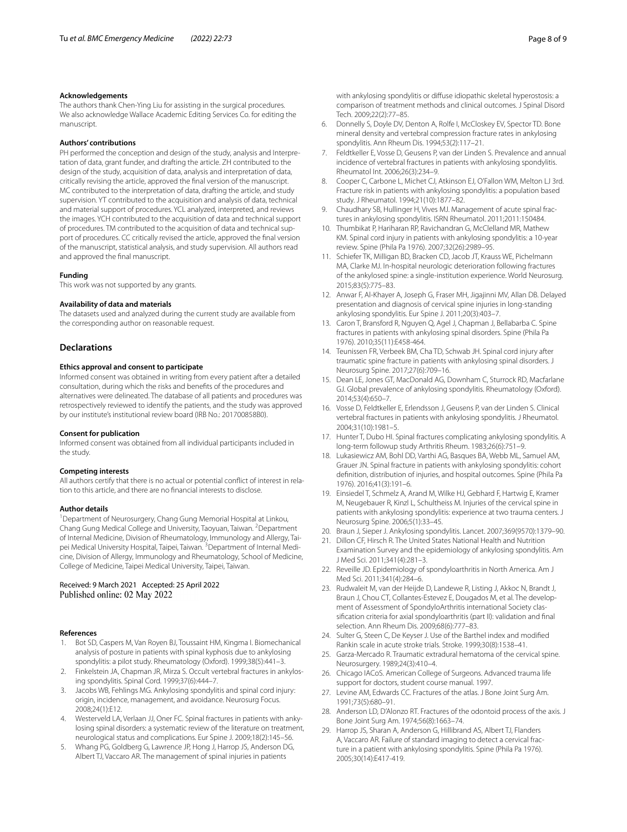#### **Acknowledgements**

The authors thank Chen-Ying Liu for assisting in the surgical procedures. We also acknowledge Wallace Academic Editing Services Co. for editing the manuscript.

#### **Authors' contributions**

PH performed the conception and design of the study, analysis and Interpretation of data, grant funder, and drafting the article. ZH contributed to the design of the study, acquisition of data, analysis and interpretation of data, critically revising the article, approved the fnal version of the manuscript. MC contributed to the interpretation of data, drafting the article, and study supervision. YT contributed to the acquisition and analysis of data, technical and material support of procedures. YCL analyzed, interpreted, and reviews the images. YCH contributed to the acquisition of data and technical support of procedures. TM contributed to the acquisition of data and technical support of procedures. CC critically revised the article, approved the fnal version of the manuscript, statistical analysis, and study supervision. All authors read and approved the fnal manuscript.

#### **Funding**

This work was not supported by any grants.

#### **Availability of data and materials**

The datasets used and analyzed during the current study are available from the corresponding author on reasonable request.

#### **Declarations**

#### **Ethics approval and consent to participate**

Informed consent was obtained in writing from every patient after a detailed consultation, during which the risks and benefts of the procedures and alternatives were delineated. The database of all patients and procedures was retrospectively reviewed to identify the patients, and the study was approved by our institute's institutional review board (IRB No.: 201700858B0).

#### **Consent for publication**

Informed consent was obtained from all individual participants included in the study.

#### **Competing interests**

All authors certify that there is no actual or potential conflict of interest in relation to this article, and there are no fnancial interests to disclose.

#### **Author details**

<sup>1</sup> Department of Neurosurgery, Chang Gung Memorial Hospital at Linkou, Chang Gung Medical College and University, Taoyuan, Taiwan. <sup>2</sup> Department of Internal Medicine, Division of Rheumatology, Immunology and Allergy, Tai‑ pei Medical University Hospital, Taipei, Taiwan. <sup>3</sup> Department of Internal Medicine, Division of Allergy, Immunology and Rheumatology, School of Medicine, College of Medicine, Taipei Medical University, Taipei, Taiwan.

#### Received: 9 March 2021 Accepted: 25 April 2022 Published online: 02 May 2022

#### **References**

- <span id="page-7-0"></span>1. Bot SD, Caspers M, Van Royen BJ, Toussaint HM, Kingma I. Biomechanical analysis of posture in patients with spinal kyphosis due to ankylosing spondylitis: a pilot study. Rheumatology (Oxford). 1999;38(5):441–3.
- <span id="page-7-1"></span>2. Finkelstein JA, Chapman JR, Mirza S. Occult vertebral fractures in ankylosing spondylitis. Spinal Cord. 1999;37(6):444–7.
- <span id="page-7-12"></span>3. Jacobs WB, Fehlings MG. Ankylosing spondylitis and spinal cord injury: origin, incidence, management, and avoidance. Neurosurg Focus. 2008;24(1):E12.
- <span id="page-7-2"></span>4. Westerveld LA, Verlaan JJ, Oner FC. Spinal fractures in patients with ankylosing spinal disorders: a systematic review of the literature on treatment, neurological status and complications. Eur Spine J. 2009;18(2):145–56.
- <span id="page-7-3"></span>5. Whang PG, Goldberg G, Lawrence JP, Hong J, Harrop JS, Anderson DG, Albert TJ, Vaccaro AR. The management of spinal injuries in patients

with ankylosing spondylitis or difuse idiopathic skeletal hyperostosis: a comparison of treatment methods and clinical outcomes. J Spinal Disord Tech. 2009;22(2):77–85.

- <span id="page-7-4"></span>6. Donnelly S, Doyle DV, Denton A, Rolfe I, McCloskey EV, Spector TD. Bone mineral density and vertebral compression fracture rates in ankylosing spondylitis. Ann Rheum Dis. 1994;53(2):117–21.
- <span id="page-7-5"></span>7. Feldtkeller E, Vosse D, Geusens P, van der Linden S. Prevalence and annual incidence of vertebral fractures in patients with ankylosing spondylitis. Rheumatol Int. 2006;26(3):234–9.
- <span id="page-7-14"></span>8. Cooper C, Carbone L, Michet CJ, Atkinson EJ, O'Fallon WM, Melton LJ 3rd. Fracture risk in patients with ankylosing spondylitis: a population based study. J Rheumatol. 1994;21(10):1877–82.
- <span id="page-7-6"></span>9. Chaudhary SB, Hullinger H, Vives MJ. Management of acute spinal fractures in ankylosing spondylitis. ISRN Rheumatol. 2011;2011:150484.
- <span id="page-7-7"></span>10. Thumbikat P, Hariharan RP, Ravichandran G, McClelland MR, Mathew KM. Spinal cord injury in patients with ankylosing spondylitis: a 10-year review. Spine (Phila Pa 1976). 2007;32(26):2989–95.
- <span id="page-7-9"></span>11. Schiefer TK, Milligan BD, Bracken CD, Jacob JT, Krauss WE, Pichelmann MA, Clarke MJ. In-hospital neurologic deterioration following fractures of the ankylosed spine: a single-institution experience. World Neurosurg. 2015;83(5):775–83.
- <span id="page-7-8"></span>12. Anwar F, Al-Khayer A, Joseph G, Fraser MH, Jigajinni MV, Allan DB. Delayed presentation and diagnosis of cervical spine injuries in long-standing ankylosing spondylitis. Eur Spine J. 2011;20(3):403–7.
- <span id="page-7-10"></span>13. Caron T, Bransford R, Nguyen Q, Agel J, Chapman J, Bellabarba C. Spine fractures in patients with ankylosing spinal disorders. Spine (Phila Pa 1976). 2010;35(11):E458-464.
- <span id="page-7-11"></span>14. Teunissen FR, Verbeek BM, Cha TD, Schwab JH. Spinal cord injury after traumatic spine fracture in patients with ankylosing spinal disorders. J Neurosurg Spine. 2017;27(6):709–16.
- <span id="page-7-13"></span>15. Dean LE, Jones GT, MacDonald AG, Downham C, Sturrock RD, Macfarlane GJ. Global prevalence of ankylosing spondylitis. Rheumatology (Oxford). 2014;53(4):650–7.
- <span id="page-7-15"></span>16. Vosse D, Feldtkeller E, Erlendsson J, Geusens P, van der Linden S. Clinical vertebral fractures in patients with ankylosing spondylitis. J Rheumatol. 2004;31(10):1981–5.
- <span id="page-7-16"></span>17. Hunter T, Dubo HI. Spinal fractures complicating ankylosing spondylitis. A long-term followup study Arthritis Rheum. 1983;26(6):751–9.
- <span id="page-7-17"></span>18. Lukasiewicz AM, Bohl DD, Varthi AG, Basques BA, Webb ML, Samuel AM, Grauer JN. Spinal fracture in patients with ankylosing spondylitis: cohort defnition, distribution of injuries, and hospital outcomes. Spine (Phila Pa 1976). 2016;41(3):191–6.
- <span id="page-7-18"></span>19. Einsiedel T, Schmelz A, Arand M, Wilke HJ, Gebhard F, Hartwig E, Kramer M, Neugebauer R, Kinzl L, Schultheiss M. Injuries of the cervical spine in patients with ankylosing spondylitis: experience at two trauma centers. J Neurosurg Spine. 2006;5(1):33–45.
- <span id="page-7-19"></span>20. Braun J, Sieper J. Ankylosing spondylitis. Lancet. 2007;369(9570):1379–90.
- 21. Dillon CF, Hirsch R. The United States National Health and Nutrition Examination Survey and the epidemiology of ankylosing spondylitis. Am J Med Sci. 2011;341(4):281–3.
- 22. Reveille JD. Epidemiology of spondyloarthritis in North America. Am J Med Sci. 2011;341(4):284–6.
- <span id="page-7-20"></span>23. Rudwaleit M, van der Heijde D, Landewe R, Listing J, Akkoc N, Brandt J, Braun J, Chou CT, Collantes-Estevez E, Dougados M, et al. The development of Assessment of SpondyloArthritis international Society classifcation criteria for axial spondyloarthritis (part II): validation and fnal selection. Ann Rheum Dis. 2009;68(6):777–83.
- <span id="page-7-21"></span>24. Sulter G, Steen C, De Keyser J. Use of the Barthel index and modifed Rankin scale in acute stroke trials. Stroke. 1999;30(8):1538–41.
- <span id="page-7-22"></span>25. Garza-Mercado R. Traumatic extradural hematoma of the cervical spine. Neurosurgery. 1989;24(3):410–4.
- <span id="page-7-23"></span>26. Chicago IACoS. American College of Surgeons. Advanced trauma life support for doctors, student course manual. 1997.
- <span id="page-7-24"></span>27. Levine AM, Edwards CC. Fractures of the atlas. J Bone Joint Surg Am. 1991;73(5):680–91.
- <span id="page-7-25"></span>28. Anderson LD, D'Alonzo RT. Fractures of the odontoid process of the axis. J Bone Joint Surg Am. 1974;56(8):1663–74.
- <span id="page-7-26"></span>29. Harrop JS, Sharan A, Anderson G, Hillibrand AS, Albert TJ, Flanders A, Vaccaro AR. Failure of standard imaging to detect a cervical fracture in a patient with ankylosing spondylitis. Spine (Phila Pa 1976). 2005;30(14):E417-419.